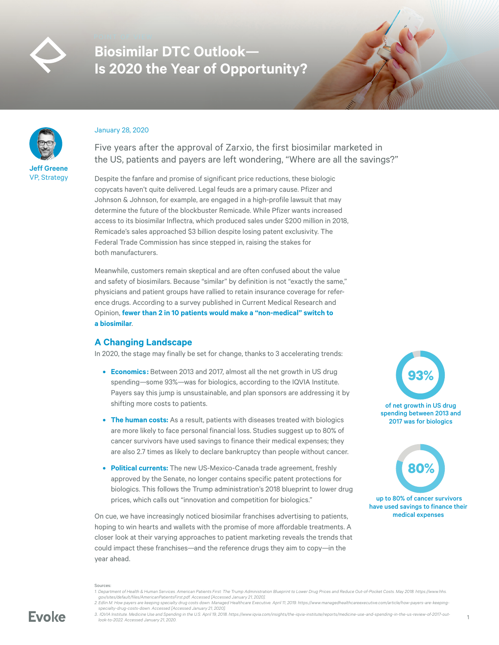

# **Biosimilar DTC Outlook— Is 2020 the Year of Opportunity?**



**Jeff Greene**

### January 28, 2020

Five years after the approval of Zarxio, the first biosimilar marketed in the US, patients and payers are left wondering, "Where are all the savings?"

VP, Strategy Despite the fanfare and promise of significant price reductions, these biologic copycats haven't quite delivered. Legal feuds are a primary cause. Pfizer and Johnson & Johnson, for example, are engaged in a high-profile lawsuit that may determine the future of the blockbuster Remicade. While Pfizer wants increased access to its biosimilar Inflectra, which produced sales under \$200 million in 2018, Remicade's sales approached \$3 billion despite losing patent exclusivity. The Federal Trade Commission has since stepped in, raising the stakes for both manufacturers.

> Meanwhile, customers remain skeptical and are often confused about the value and safety of biosimilars. Because "similar" by definition is not "exactly the same," physicians and patient groups have rallied to retain insurance coverage for reference drugs. According to a survey published in Current Medical Research and Opinion, **fewer than 2 in 10 patients would make a "non-medical" switch to a biosimilar**.

# **A Changing Landscape**

In 2020, the stage may finally be set for change, thanks to 3 accelerating trends:

- **• Economics:** Between 2013 and 2017, almost all the net growth in US drug spending—some 93%—was for biologics, according to the IQVIA Institute. Payers say this jump is unsustainable, and plan sponsors are addressing it by shifting more costs to patients.
- **• The human costs:** As a result, patients with diseases treated with biologics are more likely to face personal financial loss. Studies suggest up to 80% of cancer survivors have used savings to finance their medical expenses; they are also 2.7 times as likely to declare bankruptcy than people without cancer.
- **• Political currents:** The new US-Mexico-Canada trade agreement, freshly approved by the Senate, no longer contains specific patent protections for biologics. This follows the Trump administration's 2018 blueprint to lower drug prices, which calls out "innovation and competition for biologics."

On cue, we have increasingly noticed biosimilar franchises advertising to patients, hoping to win hearts and wallets with the promise of more affordable treatments. A closer look at their varying approaches to patient marketing reveals the trends that could impact these franchises—and the reference drugs they aim to copy—in the year ahead.



of net growth in US drug spending between 2013 and 2017 was for biologics



 up to 80% of cancer survivors have used savings to finance their medical expenses

#### Sources:

**Evoke** 

- *2. Edlin M. How payers are keeping specialty drug costs down. Managed Healthcare Executive. April 11, 2019. https://www.managedhealthcareexecutive.com/article/how-payers-are-keepingspecialty-drug-costs-down. Accessed [Accessed January 21, 2020].*
- *3.. IQVIA Institute. Medicine Use and Spending in the U.S. April 19, 2018. https://www.iqvia.com/insights/the-iqvia-institute/reports/medicine-use-and-spending-in-the-us-review-of-2017-outlook-to-2022. Accessed January 21, 2020.*

*<sup>1.</sup> Department of Health & Human Services. American Patients First: The Trump Administration Blueprint to Lower Drug Prices and Reduce Out-of-Pocket Costs. May 2018. https://www.hhs. gov/sites/default/files/AmericanPatientsFirst.pdf. Accessed [Accessed January 21, 2020].*